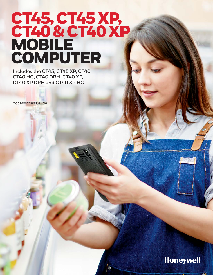# CT45, CT45 XP, CT40 & CT40 XP **MOBILE** COMPUTER

**Includes the CT45, CT45 XP, CT40, CT40 HC, CT40 DRH, CT40 XP, CT40 XP DRH and CT40 XP HC**

Accessories Guide

## **Honeywell**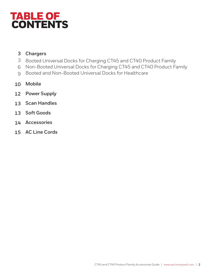## TABLE OF CONTENTS

## **[Chargers](#page-3-0)**

- Booted Universal Docks for Charging CT45 and CT40 Product Family
- Non-Booted Universal Docks for Charging CT45 and CT40 Product Family
- [Booted and Non-Booted Universal Docks for Healthcare](#page-8-0)
- **[Mobile](#page-9-0)**
- **Power Supply**
- **[Scan Handles](#page-12-0)**
- **[Soft Goods](#page-12-1)**
- **[Accessories](#page-13-0)**
- **[AC Line Cords](#page-14-0)**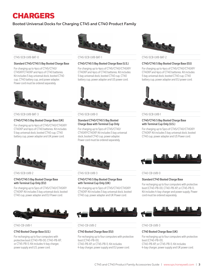## CHARGERS

## **Booted Universal Docks for Charging CT45 and CT40 Product Family**



#### **Standard CT40/CT45 5 Bay Booted Charge Base**

For charging up to 4pcs of CT45/CT40/ CT45XP/CT40XP and 4pcs of CT40 batteries. Kit includes 5 bay universal dock, booted CT40 cup, CT40 battery cup, and power adapter. Power cord must be ordered separately.



CT45-5CB-UVB-BAT-3 CT45-5CB-UVB-0 CT45-5CB-UVB-1

## **CT40/CT45 5 Bay Booted Charge Base (UK)**

For charging up to 4pcs of CT45/CT40/CT45XP/ CT40XP and 4pcs of CT40 batteries. Kit includes 5 bay universal dock, booted CT40 cup, CT40 battery cup, power adapter and UK power cord.



CT45-5CB-UVB-2 CT45-5CB-UVB-3 CT40-CB-UVB-0

#### **CT40/CT45 5 Bay Booted Charge Base with Terminal Cup Only (EU)**

For charging up to 5pcs of CT45/CT40/CT45XP/ CT40XP. Kit includes 5 bay universal dock, booted CT40 cup, power adapter and EU Power cord.



#### **CT40 Booted Charge Base (U.S.)**

For recharging up to four computers with protective boot (CT40-PB-00, CT40-PB-XP, or CT45-PB-1). Kit includes 4-bay charger, power supply and U.S. power cord.



CT45-5CB-UVB-BAT-0 CT45-5CB-UVB-BAT-1 CT45-5CB-UVB-BAT-2

#### **CT40/CT45 5 Bay Booted Charge Base (U.S.)**

For charging up to 4pcs of CT45/CT40/CT45XP/ CT40XP and 4pcs of CT40 batteries. Kit includes 5 bay universal dock, booted CT40 cup, CT40 battery cup, power adapter and US power cord.



#### **Standard CT40/CT45 5 Bay Booted Charge Base with Terminal Cup Only**

For charging up to 5pcs of CT45/CT40/ CT45XP/CT40XP. Kit includes 5 bay universal dock, booted CT40 cup, power adapter. Power cord must be ordered separately.



### **CT40/CT45 5 Bay Booted Charge Base with Terminal Cup Only (UK)**

For charging up to 5pcs of CT45/CT40/CT45XP/ CT40XP. Kit includes 5 bay universal dock, booted CT40 cup, power adapter and UK Power cord.



CT40-CB-UVB-1 CT40-CB-UVB-2 CT40-CB-UVB-3

#### **CT40 Booted Charge Base (EU)**

For recharging up to four computers with protective boot (CT40-PB-00, CT40-PB-XP, or CT45-PB-1). Kit includes 4-bay charger, power supply and EU power cord.



#### **CT40/CT45 5 Bay Booted Charge Base (EU)**

For charging up to 4pcs of CT45/CT40/CT45XP/ CT40XP and 4pcs of CT40 batteries. Kit includes 5 bay universal dock, booted CT40 cup, CT40 battery cup, power adapter and EU power cord.



#### **CT40/CT45 5 Bay Booted Charge Base with Terminal Cup Only (U.S.)**

For charging up to 5pcs of CT45/CT40/CT45XP/ CT40XP. Kit includes 5 bay universal dock, booted CT40 cup, power adapter and US Power cord.



#### **Standard CT40 Booted Charge Base**

For recharging up to four computers with protective boot (CT40-PB-00, CT40-PB-XP, or CT45-PB-1). Kit includes 4-bay charger and power supply. Power cord must be ordered separately.



## **CT40 Booted Charge Base (UK)**

For recharging up to four computers with protective boot (CT40-PB-00, CT40-PB-XP, or CT45-PB-1). Kit includes 4-bay charger, power supply and UK power cord.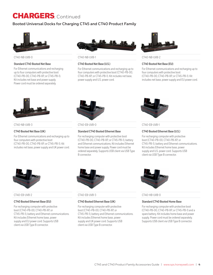## <span id="page-3-0"></span>**Booted Universal Docks for Charging CT45 and CT40 Product Family**



#### **Standard CT40 Booted Net Base**

For Ethernet communications and recharging up to four computers with protective boot (CT40-PB-00, CT40-PB-XP, or CT45-PB-1). Kit includes net base and power supply. Power cord must be ordered separately.



#### CT40-NB-UVB-0 CT40-NB-UVB-1 CT40-NB-UVB-2

### **CT40 Booted Net Base (U.S.)**

For Ethernet communications and recharging up to four computers with protective boot (CT40-PB-00, CT40-PB-XP, or CT45-PB-1). Kit includes net base, power supply and U.S. power cord.



#### **CT40 Booted Net Base (EU)**

For Ethernet communications and recharging up to four computers with protective boot (CT40-PB-00, CT40-PB-XP, or CT45-PB-1). Kit includes net base, power supply and EU power cord.



#### **CT40 Booted Net Base (UK)**

For Ethernet communications and recharging up to four computers with protective boot (CT40-PB-00, CT40-PB-XP, or CT45-PB-1). Kit includes net base, power supply and UK power cord.



CT40-NB-UVB-3 CT40-EB-UVB-0 CT40-EB-UVB-1

## **Standard CT40 Booted Ethernet Base**

For recharging computer with protective boot (CT40-PB-00, CT40-PB-XP, or CT45-PB-1), battery and Ethernet communications. Kit includes Ethernet home base and power supply. Power cord must be ordered separately. Supports USB client via USB Type B connector.



## **CT40 Booted Ethernet Base (U.S.)**

For recharging computer with protective boot (CT40-PB-00, CT40-PB-XP, or CT45-PB-1), battery and Ethernet communications. Kit includes Ethernet home base, power supply and U.S. power cord. Supports USB client via USB Type B connector.



#### CT40-EB-UVB-2 CT40-EB-UVB-3 CT40-HB-UVB-0

#### **CT40 Booted Ethernet Base (EU)**

For recharging computer with protective boot (CT40-PB-00, CT40-PB-XP, or CT45-PB-1), battery and Ethernet communications. Kit includes Ethernet home base, power supply and EU power cord. Supports USB client via USB Type B connector.



#### **CT40 Booted Ethernet Base (UK)**

For recharging computer with protective boot (CT40-PB-00, CT40-PB-XP, or CT45-PB-1), battery and Ethernet communications. Kit includes Ethernet home base, power supply and UK power cord. Supports USB client via USB Type B connector.



#### **Standard CT40 Booted Home Base**

For recharging computer with protective boot (CT40-PB-00, CT40-PB-XP, or CT45-PB-1) and a spare battery. Kit includes home base and power supply. Power cord must be ordered separately. Supports USB client via USB Type B connector.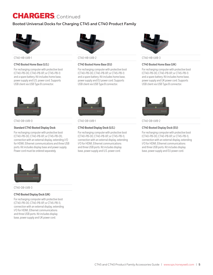## **Booted Universal Docks for Charging CT45 and CT40 Product Family**



### **CT40 Booted Home Base (U.S.)**

For recharging computer with protective boot (CT40-PB-00, CT40-PB-XP, or CT45-PB-1) and a spare battery. Kit includes home base, power supply and U.S. power cord. Supports USB client via USB Type B connector.



#### CT40-DB-UVB-0 CT40-DB-UVB-1 CT40-DB-UVB-2

#### **Standard CT40 Booted Display Dock**

For recharging computer with protective boot (CT40-PB-00, CT40-PB-XP, or CT45-PB-01), connection with an external display, extending I/O for HDMI, Ethernet communications and three USB ports. Kit includes display base and power supply. Power cord must be ordered separately.



CT40-HB-UVB-1 CT40-HB-UVB-2 CT40-HB-UVB-3

#### **CT40 Booted Home Base (EU)**

For recharging computer with protective boot (CT40-PB-00, CT40-PB-XP, or CT45-PB-1) and a spare battery. Kit includes home base, power supply and EU power cord. Supports USB client via USB Type B connector.



#### **CT40 Booted Display Dock (U.S.)**

For recharging computer with protective boot (CT40-PB-00, CT40-PB-XP, or CT45-PB-1), connection with an external display, extending I/O for HDMI, Ethernet communications and three USB ports. Kit includes display base, power supply and U.S. power cord.



#### **CT40 Booted Home Base (UK)**

For recharging computer with protective boot (CT40-PB-00, CT40-PB-XP, or CT45-PB-1) and a spare battery. Kit includes home base, power supply and UK power cord. Supports USB client via USB Type B connector.



#### **CT40 Booted Display Dock (EU)**

For recharging computer with protective boot (CT40-PB-00, CT40-PB-XP, or CT45-PB-1), connection with an external display, extending I/O for HDMI, Ethernet communications and three USB ports. Kit includes display base, power supply and EU power cord.



#### CT40-DB-UVB-3

#### **CT40 Booted Display Dock (UK)**

For recharging computer with protective boot (CT40-PB-00, CT40-PB-XP, or CT45-PB-1), connection with an external display, extending I/O for HDMI, Ethernet communications and three USB ports. Kit includes display base, power supply and UK power cord.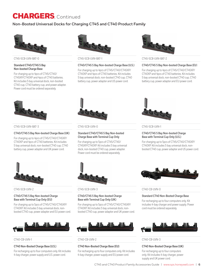## **Non-Booted Universal Docks for Charging CT45 and CT40 Product Family**



#### **Standard CT40/CT45 5 Bay Non-booted Charge Base**

For charging up to 4pcs of CT45/CT40/ CT45XP/CT40XP and 4pcs of CT40 batteries. Kit includes 5 bay universal dock, non-booted CT40 cup, CT40 battery cup, and power adapter. Power cord must be ordered separately.



CT45-5CB-UVN-BAT-3 CT45-5CB-UVN-0 CT45-5CB-UVN-1

#### **CT40/CT45 5 Bay Non-booted Charge Base (UK)**

For charging up to 4pcs of CT45/CT40/CT45XP/ CT40XP and 4pcs of CT40 batteries. Kit includes 5 bay universal dock, non-booted CT40 cup, CT40 battery cup, power adapter and UK power cord.



CT45-5CB-UVN-BAT-0 CT45-5CB-UVN-BAT-1 CT45-5CB-UVN-BAT-2

#### **CT40/CT45 5 Bay Non-booted Charge Base (U.S.)**

For charging up to 4pcs of CT45/CT40/CT45XP/ CT40XP and 4pcs of CT40 batteries. Kit includes 5 bay universal dock, non-booted CT40 cup, CT40 battery cup, power adapter and US power cord.



#### **Standard CT40/CT45 5 Bay Non-booted Charge Base with Terminal Cup Only**

For charging up to 5pcs of CT45/CT40/ CT45XP/CT40XP. Kit includes 5 bay universal dock, non-booted CT40 cup, power adapter. Power cord must be ordered separately.



#### CT45-5CB-UVN-2 CT45-5CB-UVN-3 CT40-CB-UVN-0

#### **CT40/CT45 5 Bay Non-booted Charge Base with Terminal Cup Only (UK)**

For charging up to 5pcs of CT45/CT40/CT45XP/ CT40XP. Kit includes 5 bay universal dock, nonbooted CT40 cup, power adapter and UK power cord.



## CT40-CB-UVN-1 CT40-CB-UVN-2 CT40-CB-UVN-3

## **CT40 Non-Booted Charge Base (EU)**

For recharging up to four computers only. Kit includes 4-bay charger, power supply and EU power cord.



#### **CT40/CT45 5 Bay Non-booted Charge Base (EU**)

For charging up to 4pcs of CT45/CT40/CT45XP/ CT40XP and 4pcs of CT40 batteries. Kit includes 5 bay universal dock, non-booted CT40 cup, CT40 battery cup, power adapter and EU power cord.



#### **CT40/CT45 5 Bay Non-booted Charge Base with Terminal Cup Only (U.S.)**

For charging up to 5pcs of CT45/CT40/CT45XP/ CT40XP. Kit includes 5 bay universal dock, nonbooted CT40 cup, power adapter and US power cord.



#### **Standard CT40 Non-Booted Charge Base**

For recharging up to four computers only. Kit includes 4-bay charger and power supply. Power cord must be ordered separately.



## **CT40 Non-Booted Charge Base (UK)**

For recharging up to four computers only. Kit includes 4-bay charger, power supply and UK power cord.

#### **CT40/CT45 5 Bay Non-booted Charge Base with Terminal Cup Only (EU)**

For charging up to 5pcs of CT45/CT40/CT45XP/ CT40XP. Kit includes 5 bay universal dock, nonbooted CT40 cup, power adapter and EU power cord.



## **CT40 Non-Booted Charge Base (U.S.)**

For recharging up to four computers only. Kit includes 4-bay charger, power supply and U.S. power cord.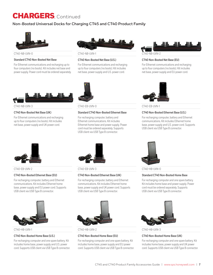## **Non-Booted Universal Docks for Charging CT45 and CT40 Product Family**



#### CT40-NB-UVN-0 CT40-NB-UVN-1 CT40-NB-UVN-2

#### **Standard CT40 Non-Booted Net Base**

For Ethernet communications and recharging up to four computers (no boots). Kit includes net base and power supply. Power cord must be ordered separately.



#### **CT40 Non-Booted Net Base (U.S.)**

For Ethernet communications and recharging up to four computers (no boots). Kit includes net base, power supply and U.S. power cord.



### **CT40 Non-Booted Net Base (UK)**

For Ethernet communications and recharging up to four computers (no boots). Kit includes net base, power supply and UK power cord.



CT40-NB-UVN-3 CT40-EB-UVN-0 CT40-EB-UVN-1

## **Standard CT40 Non-Booted Ethernet Base**

For recharging computer, battery and Ethernet communications. Kit includes Ethernet home base and power supply. Power cord must be ordered separately. Supports USB client via USB Type B connector.



**CT40 Non-Booted Net Base (EU)**

For Ethernet communications and recharging up to four computers (no boots). Kit includes net base, power supply and EU power cord.

15. JUN

For recharging computer, battery and Ethernet communications. Kit includes Ethernet home base, power supply and U.S. power cord. Supports USB client via USB Type B connector.



#### **CT40 Non-Booted Ethernet Base (EU)**

For recharging computer, battery and Ethernet communications. Kit includes Ethernet home base, power supply and EU power cord. Supports USB client via USB Type B connector.



#### **CT40 Non-Booted Home Base (U.S.)**

For recharging computer and one spare battery. Kit includes home base, power supply and U.S. power cord. Supports USB client via USB Type B connector.



CT40-EB-UVN-2 CT40-EB-UVN-3 CT40-HB-UVN-0

#### **CT40 Non-Booted Ethernet Base (UK)**

For recharging computer, battery and Ethernet communications. Kit includes Ethernet home base, power supply and UK power cord. Supports USB client via USB Type B connector.



CT40-HB-UVN-1 CT40-HB-UVN-2 CT40-HB-UVN-3

#### **CT40 Non-Booted Home Base (EU)**

For recharging computer and one spare battery. Kit includes home base, power supply and EU power cord. Supports USB client via USB Type B connector.



#### **Standard CT40 Non-Booted Home Base**

For recharging computer and one spare battery. Kit includes home base and power supply. Power cord must be ordered separately. Supports USB client via USB Type B connector.



#### **CT40 Non-Booted Home Base (UK)**

For recharging computer and one spare battery. Kit includes home base, power supply and UK power cord. Supports USB client via USB Type B connector.



## **CT40 Non-Booted Ethernet Base (U.S.)**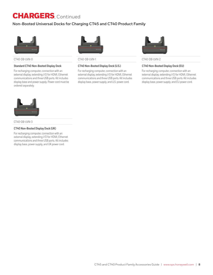## **Non-Booted Universal Docks for Charging CT45 and CT40 Product Family**



CT40-DB-UVN-0 CT40-DB-UVN-1 CT40-DB-UVN-2

#### **Standard CT40 Non-Booted Display Dock**

For recharging computer, connection with an external display, extending I/O for HDMI, Ethernet communications and three USB ports. Kit includes display base and power supply. Power cord must be ordered separately.



#### **CT40 Non-Booted Display Dock (U.S.)**

For recharging computer, connection with an external display, extending I/O for HDMI, Ethernet communications and three USB ports. Kit includes display base, power supply, and U.S. power cord.



### **CT40 Non-Booted Display Dock (EU)**

For recharging computer, connection with an external display, extending I/O for HDMI, Ethernet communications and three USB ports. Kit includes display base, power supply, and EU power cord.



CT40-DB-UVN-3

## **CT40 Non-Booted Display Dock (UK)**

For recharging computer, connection with an external display, extending I/O for HDMI, Ethernet communications and three USB ports. Kit includes display base, power supply, and UK power cord.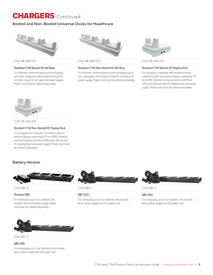## <span id="page-8-0"></span>**Booted and Non-Booted Universal Docks for Healthcare**



### **Standard CT40 Booted HC Net Base**

For Ethernet communications and recharging up to four computers with protective boot. Kit includes 4-bay HC net base and power supply. Power cord must be ordered separately.



CT40-NB-UVB-HC0 CT40-NB-UVN-HC0 CT40-DB-UVB-HC0

#### **Standard CT40 Non-Booted HC Net Base**

For Ethernet communications and recharging up to four computers. Kit includes 4-bay HC net base and power supply. Power cord must be ordered separately.



#### **Standard CT40 Booted HC Display Dock**

For charging a computer with protection boot, connection with an external display, extending I/O for HDMI, Ethernet communications and three USB ports. Kit includes HC display base and power supply. Power cord must be ordered separately.



CT40-DB-UVN-HC0

#### **Standard CT40 Non-Booted HC Display Dock**

For charging the computer, connection with an external display, extending I/O for HDMI, Ethernet communications and three USB ports. Kit includes HC display base and power supply. Power cord must be ordered separately.

## **Battery Version**



#### CT40-QBC-0 CT40-QBC-1 CT40-QBC-2

#### **Standard QBC**

For recharging up to four batteries. Kit includes dock and power supply. Power cord must be ordered separately.



## **QBC (U.S.)**

For recharging up to four batteries. Kit includes dock, power supply and U.S. power cord.



## **QBC (EU)**

For recharging up to four batteries. Kit includes dock, power supply and EU power cord.



CT40-QBC-3

## **QBC (UK)**

For recharging up to four batteries. Kit includes dock, power supply and UK power cord.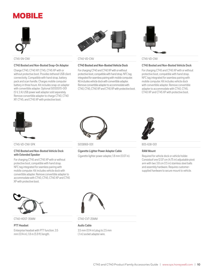## <span id="page-9-0"></span>MOBILE



#### **CT45 Booted and Non-Booted Snap-On Adapter**

Charge CT40, CT40 XP, CT45, CT45 XP with or without protective boot. Provides tethered USB client connectivity. Compatible with hand strap, battery pack and scan handle. Charges mobile computer battery in three hours. Kit includes snap-on adapter with convertible adapter. Optional 50130570-001 (5 V, 2 A) USB power wall adapter sold separately. Remove convertible adapter to charge CT40, CT40 XP, CT45, and CT45 XP with protective boot.



#### CT45-SN-CNV CT40-VD-CNV CT45-VD-CNV

#### **CT40 Booted and Non-Booted Vehicle Dock**

For charging CT40 and CT40 XP with or without protective boot, compatible with hand strap. NFC tag integrated for seamless pairing with mobile computer. Kit includes vehicle dock with convertible adapter. Remove convertible adapter to accommodate with CT40, CT45, CT40 XP and CT45 XP with protective boot.



#### **CT45 Booted and Non-Booted Vehicle Dock**

For charging CT45 and CT45 XP with or without protective boot, compatible with hand strap. NFC tag integrated for seamless pairing with mobile computer. Kit includes vehicle dock with convertible adapter. Remove convertible adapter to accommodate with CT40, CT45, CT40 XP and CT45 XP with protective boot.



CT45-VD-CNV-SPK 50138169-001 50138169-001 50138169-001

#### **CT45 Booted and Non-Booted Vehicle Dock with Extended Speaker**

For charging CT45 and CT45 XP with or without protective boot, compatible with hand strap. NFC tag integrated for seamless pairing with mobile computer. Kit includes vehicle dock with convertible adapter. Remove convertible adapter to accommodate with CT40, CT45, CT40 XP and CT45 XP with protective boot.



**Cigarette Lighter Power Adapter Cable**

Cigarette lighter power adapter, 1.8 mm (0.07 in).



#### **RAM Mount**

Required for vehicle dock or vehicle holder. Consistsof one 12.07 cm (4.75 in) adjustable pivot arm with two 3.8 cm (1.5 in) stainless steel balls and assembly hardware. Requires customersupplied hardware to secure mount to vehicle.



CT40-HDST-35MM CT40-CVT-25MM

**PTT Headset** Enterprise headset with PTT function, 3.5 mm (0.14 in), 1.8 m (5.9 ft) length.



**Audio Cable** 3.5 mm (0.14 in) plug to 2.5 mm (.1 in) socket adapter wire.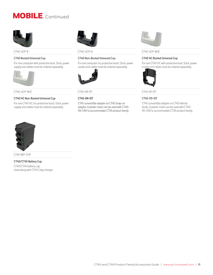## MOBILE, Continued



### **CT40 Booted Universal Cup**

For one computer with protective boot. Dock, power supply and cables must be ordered separately.



CT40-UCP-NHC CT45-SN-IST CT45-VD-IST

#### **CT40 HC Non-Booted Universal Cup**

For one CT40 HC (no protective boot). Dock, power supply and cables must be ordered separately.



#### **CT40 Non-Booted Universal Cup**

For one computer (no protective boot). Dock, power supply and cables must be ordered separately.



**CT45-SN-IST**

CT45 convertible adapter on CT45 Snap-on adapter. A plastic insert can be used with CT40- SN-CNV to accommodate CT45 product family.



#### CT40-UCP-B CT40-UCP-N CT40-UCP-BHC

#### **CT40 HC Booted Universal Cup**

For one CT40 HC with protective boot. Dock, power supply and cables must be ordered separately.



#### **CT45-VD-IST**

CT45 convertible adapter on CT45 Vehicle docks. A plastic insert can be used with CT40- VD-CNV to accommodate CT45 product family.



CT45-BAT-CUP

## **CT40/CT45 Battery Cup**

CT40/CT45 battery cup. Used along with CT45 5 bay charger.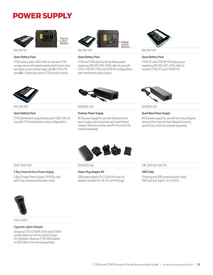## POWER SUPPLY



#### **Spare Battery Pack**

CT40 battery pack, 4020 mAh, for use with CT40 configurations with plastic battery latch button (last two digits in part number begin with **0**: CT40-L\*Nxxxxx**0**x). Cannot be used on CT45 product family.



#### **Spare Battery Pack**

CT40 and CT45 product family battery pack (replacing 318-055-015), 4020 mAh, for use with CT45, CT45 XP, CT40 and CT40 XP configurations with metal battery latch button.



#### **Spare Battery Pack**

CT40 HC and CT40 XP HC battery pack (replacing 318-055-017), 4020 mAh, for use with CT40 HC and CT40XP HC.



#### **Spare Battery Pack**

CT40 disinfectant ready battery pack, 4020 mAh, for use with CT40 disinfectant-ready configurations.



318-055-D67 50121666-001 50121667-001

#### **Desktop Power Supply**

36 W power supply for use with Ethernet home base, charge-only home base and quad battery charger. Requires country-specific line cord to be ordered separately.



#### **Quad Base Power Supply**

84 W power supply for use with four-bay charging base and four-bay net base. Requires countryspecific line cord to be ordered separately.



#### **5 Bay Universal Dock Power Supply**

5 Bay Charger Power Supply, 12V 8.3A, used with 5 bay universal dock power cords.



**Power Plug Adapter Kit**

USB power adapter (5 V, 2 A) kit for snap-on adapter. Includes EU, UK, U.S. and IN plugs.

3007-3408-001 50130570-001 CBL-500-120-S00-05

#### **USB Cable**

Charging and USB communication cable, USB Type A to Type C, 1.2 m (3.9 ft).



CT45-CIGR-1

#### **Cigarette Lighter Adapter**

Charging CT45, CT45XP, CT40 and CT40XP configurations on vehicle. Quick Charge 3.0 compliant. Requires CT45 USB adapter or USB cable to be ordered separately.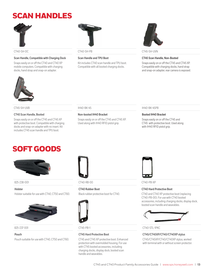## <span id="page-12-0"></span>SCAN HANDLES



#### **Scan Handle, Compatible with Charging Dock**

Snaps easily on or off the CT40 and CT40 XP mobile computers. Compatible with charging docks, hand strap and snap-on adapter.



#### **Scan Handle and TPU Boot**

Kit includes CT40 scan handle and TPU boot. Compatible with all booted charging docks.



CT40-SH-DC CT40-SH-PB CT45-SH-UVN

#### **CT45 Scan Handle, Non-Booted**

Snaps easily on or off the CT45 and CT45 XP. Compatible with charging docks, hand strap and snap-on adapter, rear camera is exposed.



#### CT45-SH-UVB IH40-BK-45 IH40-BK-45PB

#### **CT45 Scan Handle, Booted**

Snaps easily on or off the CT45 and CT45 XP with protective boot. Compatible with charging docks and snap-on adapter with no insert. Kit includes CT45 scan handle and TPU boot.

#### **Non-booted IH40 Bracket**

Snaps easily on or off the CT45 and CT45 XP. Used along with IH40 RFID pistol grip.

#### **Booted IH40 Bracket**

Snaps easily on or off the CT45 and CT45 with protective boot. Used along with IH40 RFID pistol grip.

## <span id="page-12-1"></span>SOFT GOODS



### **Holster**

Holster suitable for use with CT40, CT50 and CT60.



#### **Pouch**

Pouch suitable for use with CT40, CT50 and CT60.



825-238-001 CT40-RB-00 CT40-PB-XP

## **CT40 Rubber Boot** Black rubber protective boot for CT40.



## **CT45 Hard Protective Boot**

CT45 and CT45 XP protective boot. Enhanced protection with overmolded housing. For use with CT45 booted accessories, including charging docks, display dock, booted scan handle and wearables.



#### **CT40 Hard Protective Boot**

CT40 and CT40 XP protective boot (replacing CT40-PB-00). For use with CT40 booted accessories, including charging docks, display dock, booted scan handle and wearables.



### 825-237-001 CT45-PB-1 CT40-STL-1PKC

#### **CT45/CT45XP/CT40/CT40XP stylus**

CT45/CT45XP/CT40/CT40XP stylus, worked with terminal with or without screen protector.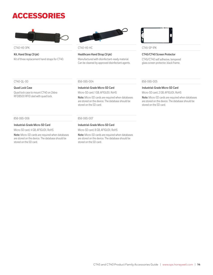## <span id="page-13-0"></span>ACCESSORIES



CT40-HS-3PK CT40-HS-HC CT45-SP-1PK

## **Kit, Hand Strap (3/pk)**

Kit of three replacement hand straps for CT40.



## **Healthcare Hand Strap (3/pk)**

Manufactured with disinfectant-ready material. Can be cleaned by approved disinfectant agents.



## **CT45/CT40 Screen Protector**

CT45/CT40 self adhesive, tempered glass screen protector, black frame.

#### CT40-QL-00 856-065-004 856-065-005

#### **Quad Lock Case**

Quad lock case to mount CT40 on Zebra RFD8500 RFID sled with quad lock.

#### **Industrial-Grade Micro-SD Card**

Micro-SD card, 1 GB, AF1GUDI, RoHS

**Note:** Micro-SD cards are required when databases are stored on the device. The database should be stored on the SD card.

#### 856-065-006 856-065-007

#### **Industrial-Grade Micro-SD Card**

Micro-SD card, 8 GB, AF1GUDI, RoHS

**Note:** Micro-SD cards are required when databases are stored on the device. The database should be stored on the SD card.

#### **Industrial-Grade Micro-SD Card**

Micro-SD card, 2 GB, AF1GUDI, RoHS

**Note:** Micro-SD cards are required when databases are stored on the device. The database should be stored on the SD card.

#### **Industrial-Grade Micro-SD Card**

Micro-SD card, 4 GB, AF1GUDI, RoHS

**Note:** Micro-SD cards are required when databases are stored on the device. The database should be stored on the SD card.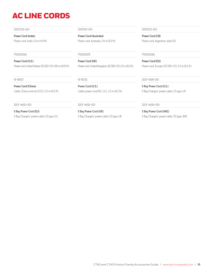## <span id="page-14-0"></span>AC LINE CORDS

**Power Cord (India)**

Power cord, India, 1.5 m (4.9 ft).

#### **Power Cord (U.S.)**

Power cord, United States, IEC320-C13, 1.85 m (6.07 ft).

**Power Cord (China)** Cable, China cord set (CCC), 2.5 m (8.2 ft).

#### 3007-4683-001 3007-4682-001 3007-4684-001

**5 Bay Power Cord (EU)** 5 Bay Chargers' power cable, C5 type, EU

50127245-001 50117501-001 50117503-001

**Power Cord (Australia)** Power cord, Australia, 2.5 m (8.2 ft).

#### 77900506E 77900507E 77900508E

**Power Cord (UK)** Power cord, United Kingdom, IEC320-C13, 2.5 m (8.2 ft).

**Power Cord (U.S.)** Cable, power cord/IEC, U.S., 2.5 m (8.2 ft).

**5 Bay Power Cord (UK)** 5 Bay Chargers' power cable, C5 type, UK

**Power Cord (CB)** Power cord, Argentina, Isled CB.

**Power Cord (EU)** Power cord, Europe, IEC320-C13, 2.5 m (8.2 ft).

19-19807 19-19726 3007-4681-001

**5 Bay Power Cord (U.S.)** 5 Bay Chargers' power cable, C5 type, US

**5 Bay Power Cord (ANZ)** 5 Bay Chargers' power cable, C5 type, ANZ